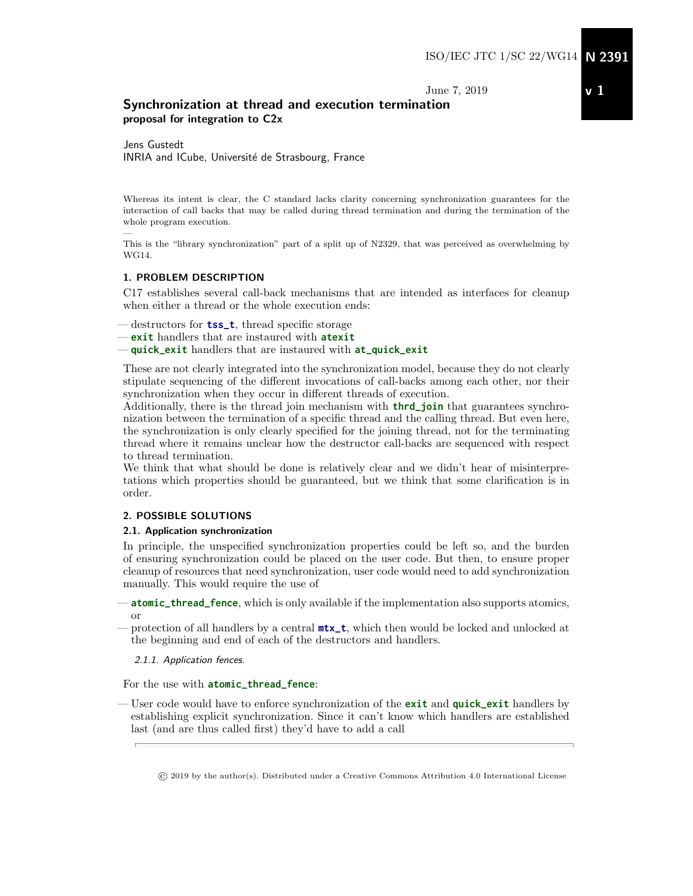June 7, 2019

# Synchronization at thread and execution termination proposal for integration to C2x

Jens Gustedt INRIA and ICube, Université de Strasbourg, France

Whereas its intent is clear, the C standard lacks clarity concerning synchronization guarantees for the interaction of call backs that may be called during thread termination and during the termination of the whole program execution.

This is the "library synchronization" part of a split up of N2329, that was perceived as overwhelming by WG14.

#### 1. PROBLEM DESCRIPTION

—

C17 establishes several call-back mechanisms that are intended as interfaces for cleanup when either a thread or the whole execution ends:

- destructors for **tss\_t**, thread specific storage
- **exit** handlers that are instaured with **atexit**

— **quick\_exit** handlers that are instaured with **at\_quick\_exit**

These are not clearly integrated into the synchronization model, because they do not clearly stipulate sequencing of the different invocations of call-backs among each other, nor their synchronization when they occur in different threads of execution.

Additionally, there is the thread join mechanism with **thrd\_join** that guarantees synchronization between the termination of a specific thread and the calling thread. But even here, the synchronization is only clearly specified for the joining thread, not for the terminating thread where it remains unclear how the destructor call-backs are sequenced with respect to thread termination.

We think that what should be done is relatively clear and we didn't hear of misinterpretations which properties should be guaranteed, but we think that some clarification is in order.

#### 2. POSSIBLE SOLUTIONS

#### 2.1. Application synchronization

In principle, the unspecified synchronization properties could be left so, and the burden of ensuring synchronization could be placed on the user code. But then, to ensure proper cleanup of resources that need synchronization, user code would need to add synchronization manually. This would require the use of

— **atomic\_thread\_fence**, which is only available if the implementation also supports atomics, or

— protection of all handlers by a central **mtx\_t**, which then would be locked and unlocked at the beginning and end of each of the destructors and handlers.

#### 2.1.1. Application fences.

For the use with **atomic\_thread\_fence**:

— User code would have to enforce synchronization of the **exit** and **quick\_exit** handlers by establishing explicit synchronization. Since it can't know which handlers are established last (and are thus called first) they'd have to add a call

© 2019 by the author(s). Distributed under a Creative Commons Attribution 4.0 International License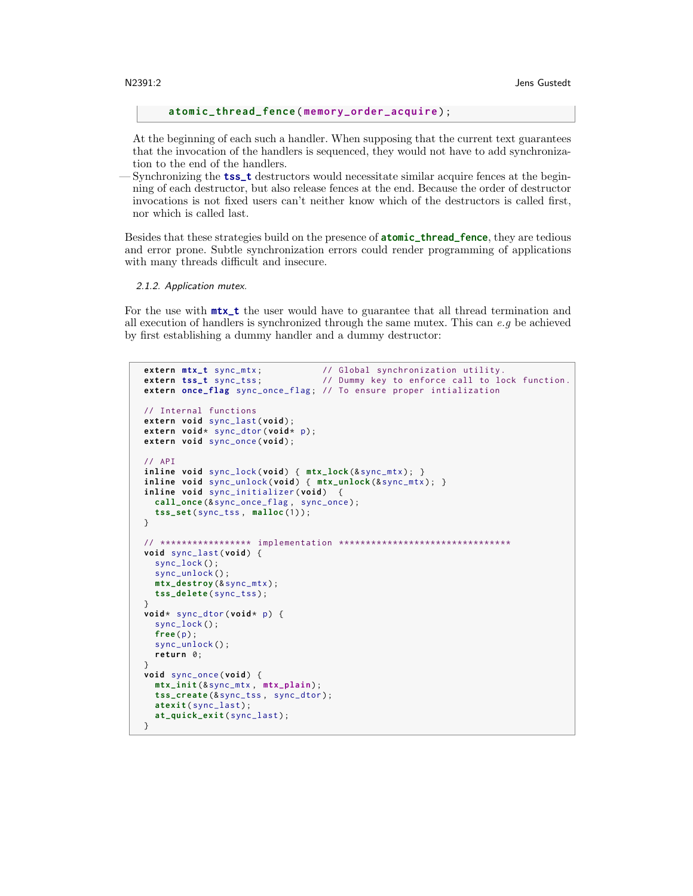**atomic\_thread\_fence** ( **memory\_order\_acquire** ) ;

At the beginning of each such a handler. When supposing that the current text guarantees that the invocation of the handlers is sequenced, they would not have to add synchronization to the end of the handlers.

— Synchronizing the **tss\_t** destructors would necessitate similar acquire fences at the beginning of each destructor, but also release fences at the end. Because the order of destructor invocations is not fixed users can't neither know which of the destructors is called first, nor which is called last.

Besides that these strategies build on the presence of **atomic\_thread\_fence**, they are tedious and error prone. Subtle synchronization errors could render programming of applications with many threads difficult and insecure.

2.1.2. Application mutex.

For the use with **mtx\_t** the user would have to guarantee that all thread termination and all execution of handlers is synchronized through the same mutex. This can  $e.g$  be achieved by first establishing a dummy handler and a dummy destructor:

```
extern mtx_t sync_mtx; \frac{1}{2} // Global synchronization utility.<br>
extern tss_t sync_tss; \frac{1}{2} // Dummy key to enforce call to lo
                                       // Dummy key to enforce call to lock function.
extern once_flag sync_once_flag ; // To ensure proper intialization
// Internal functions
extern void sync_last ( void ) ;
extern void* sync_dtor (void* p);
extern void sync_once ( void ) ;
// API
inline void sync_lock ( void ) { mtx_lock (& sync_mtx ) ; }
inline void sync_unlock ( void ) { mtx_unlock (& sync_mtx ) ; }
inline void sync_initializer ( void ) {
  call_once (& sync_once_flag , sync_once ) ;
  tss_set ( sync_tss , malloc (1) ) ;
}
// ***************** implementation ********************************
void sync_last ( void ) {
  sync_lock () ;
  sync_unlock () ;
  mtx_destroy (& sync_mtx ) ;
  tss_delete ( sync_tss ) ;
}
void * sync_dtor ( void * p) {
  sync_lock () ;
  free (p) ;
  sync_unlock () ;
  return 0;
}
void sync_once ( void ) {
  mtx_init (& sync_mtx , mtx_plain ) ;
  tss_create (& sync_tss , sync_dtor ) ;
  atexit ( sync_last ) ;
  at_quick_exit ( sync_last ) ;
}
```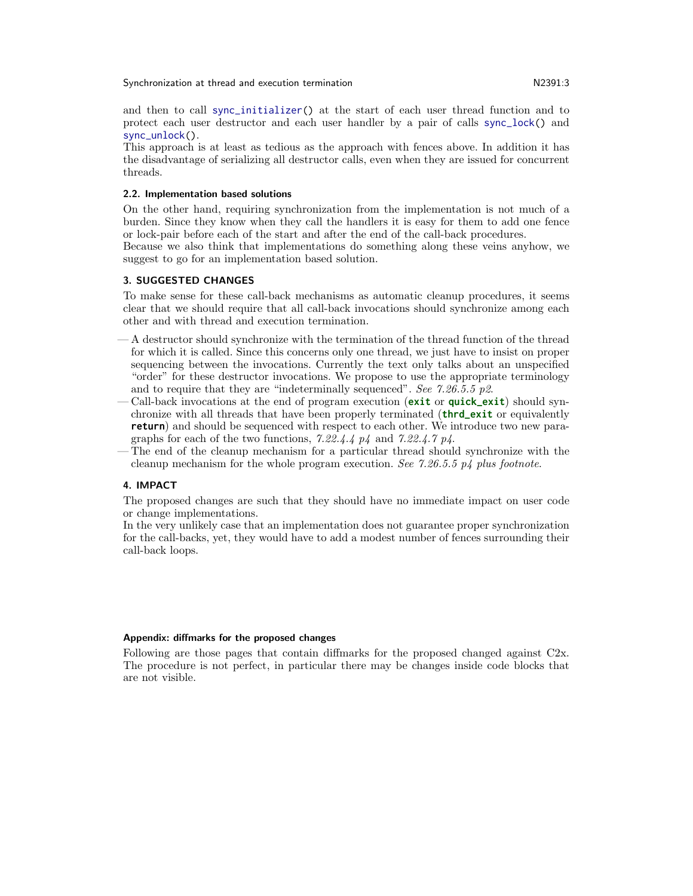Synchronization at thread and execution termination  $N2391:3$ 

and then to call sync\_initializer() at the start of each user thread function and to protect each user destructor and each user handler by a pair of calls sync\_lock() and sync\_unlock().

This approach is at least as tedious as the approach with fences above. In addition it has the disadvantage of serializing all destructor calls, even when they are issued for concurrent threads.

#### 2.2. Implementation based solutions

On the other hand, requiring synchronization from the implementation is not much of a burden. Since they know when they call the handlers it is easy for them to add one fence or lock-pair before each of the start and after the end of the call-back procedures.

Because we also think that implementations do something along these veins anyhow, we suggest to go for an implementation based solution.

#### 3. SUGGESTED CHANGES

To make sense for these call-back mechanisms as automatic cleanup procedures, it seems clear that we should require that all call-back invocations should synchronize among each other and with thread and execution termination.

- A destructor should synchronize with the termination of the thread function of the thread for which it is called. Since this concerns only one thread, we just have to insist on proper sequencing between the invocations. Currently the text only talks about an unspecified "order" for these destructor invocations. We propose to use the appropriate terminology and to require that they are "indeterminally sequenced". See 7.26.5.5 p2.
- Call-back invocations at the end of program execution (**exit** or **quick\_exit**) should synchronize with all threads that have been properly terminated (**thrd\_exit** or equivalently **return**) and should be sequenced with respect to each other. We introduce two new paragraphs for each of the two functions, 7.22.4.4 p4 and 7.22.4.7 p4.
- The end of the cleanup mechanism for a particular thread should synchronize with the cleanup mechanism for the whole program execution. See 7.26.5.5  $p_4$  plus footnote.

#### 4. IMPACT

The proposed changes are such that they should have no immediate impact on user code or change implementations.

In the very unlikely case that an implementation does not guarantee proper synchronization for the call-backs, yet, they would have to add a modest number of fences surrounding their call-back loops.

#### Appendix: diffmarks for the proposed changes

Following are those pages that contain diffmarks for the proposed changed against C2x. The procedure is not perfect, in particular there may be changes inside code blocks that are not visible.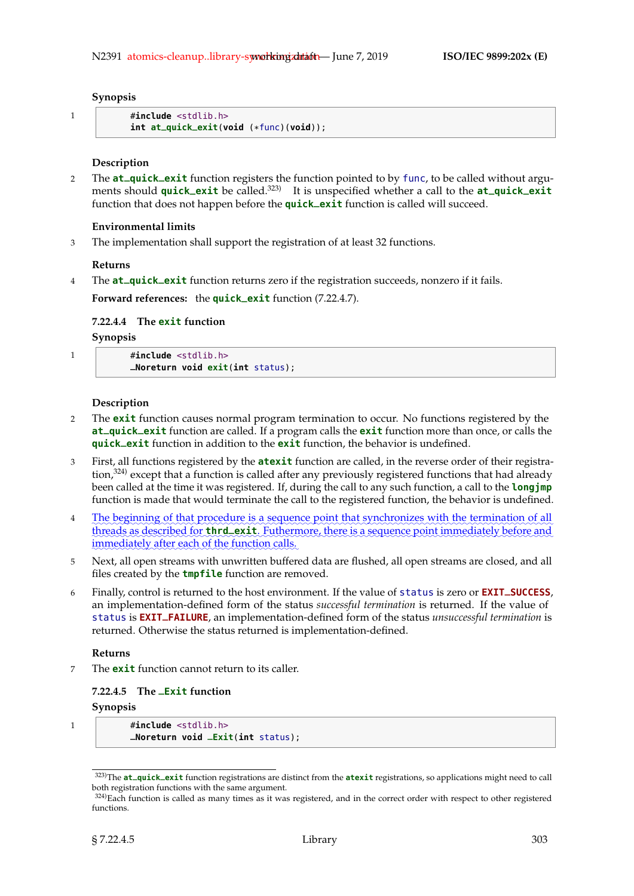#### **Synopsis**

```
1 #include <stdlib.h>
          int at_quick_exit(void (*func)(void));
```
## **Description**

<sup>2</sup> The **at\_quick\_exit** function registers the function pointed to by func, to be called without arguments should **quick\_exit** be called.323) It is unspecified whether a call to the **at\_quick\_exit** function that does not happen before the **quick\_exit** function is called will succeed.

## **Environmental limits**

3 The implementation shall support the registration of at least 32 functions.

#### **Returns**

<sup>4</sup> The **at\_quick\_exit** function returns zero if the registration succeeds, nonzero if it fails.

**Forward references:** the **quick\_exit** function (7.22.4.7).

# **7.22.4.4 The exit function**

## **Synopsis**

| $\#$ include $\le$ stdlib.h>        |  |
|-------------------------------------|--|
| $M$ Noreturn void exit(int status): |  |

#### **Description**

- 2 The **exit** function causes normal program termination to occur. No functions registered by the **at\_quick\_exit** function are called. If a program calls the **exit** function more than once, or calls the **quick\_exit** function in addition to the **exit** function, the behavior is undefined.
- 3 First, all functions registered by the **atexit** function are called, in the reverse order of their registration,<sup>324)</sup> except that a function is called after any previously registered functions that had already been called at the time it was registered. If, during the call to any such function, a call to the **longjmp** function is made that would terminate the call to the registered function, the behavior is undefined.
- 4 The beginning of that procedure is a sequence point that synchronizes with the termination of all threads as described for **thrd\_exit**. Futhermore, there is a sequence point immediately before and immediately after each of the function calls.
- 5 Next, all open streams with unwritten buffered data are flushed, all open streams are closed, and all files created by the **tmpfile** function are removed.
- <sup>6</sup> Finally, control is returned to the host environment. If the value of status is zero or **EXIT\_SUCCESS**, an implementation-defined form of the status *successful termination* is returned. If the value of status is **EXIT\_FAILURE**, an implementation-defined form of the status *unsuccessful termination* is returned. Otherwise the status returned is implementation-defined.

## **Returns**

The **exit** function cannot return to its caller.

## **7.22.4.5 The \_Exit function**

#### **Synopsis**

1 #**include** <stdlib.h> **\_Noreturn void \_Exit**(**int** status);

<sup>323)</sup>The **at\_quick\_exit** function registrations are distinct from the **atexit** registrations, so applications might need to call both registration functions with the same argument.

 $324$ )Each function is called as many times as it was registered, and in the correct order with respect to other registered functions.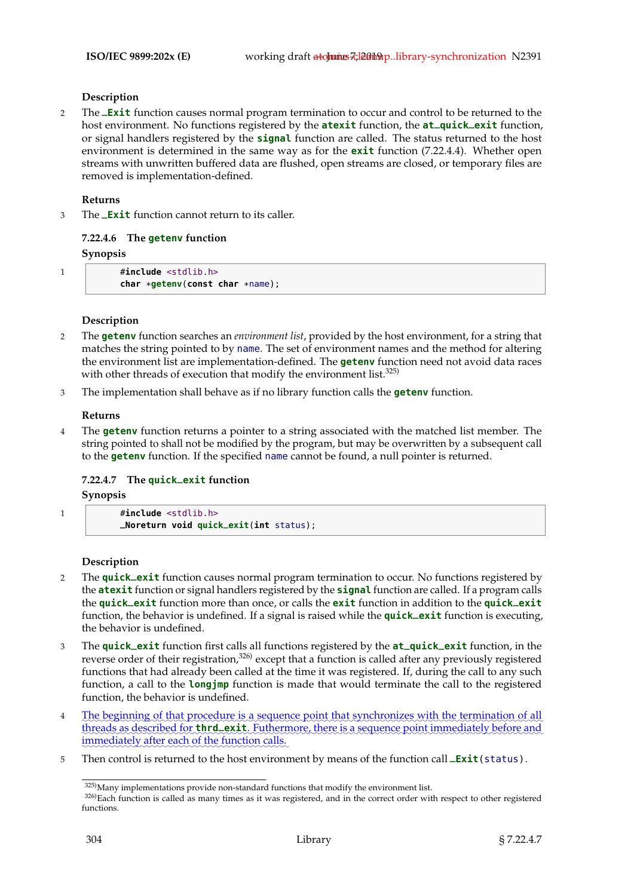#### **Description**

<sup>2</sup> The **\_Exit** function causes normal program termination to occur and control to be returned to the host environment. No functions registered by the **atexit** function, the **at\_quick\_exit** function, or signal handlers registered by the **signal** function are called. The status returned to the host environment is determined in the same way as for the **exit** function (7.22.4.4). Whether open streams with unwritten buffered data are flushed, open streams are closed, or temporary files are removed is implementation-defined.

#### **Returns**

<sup>3</sup> The **\_Exit** function cannot return to its caller.

## **7.22.4.6 The getenv function**

#### **Synopsis**

| $\#$ include $\le$ stdlib.h>          |
|---------------------------------------|
| char $*getenv$ (const char $*name$ ); |

## **Description**

- 2 The **getenv** function searches an *environment list*, provided by the host environment, for a string that matches the string pointed to by name. The set of environment names and the method for altering the environment list are implementation-defined. The **getenv** function need not avoid data races with other threads of execution that modify the environment list.  $325$
- 3 The implementation shall behave as if no library function calls the **getenv** function.

#### **Returns**

4 The **getenv** function returns a pointer to a string associated with the matched list member. The string pointed to shall not be modified by the program, but may be overwritten by a subsequent call to the **getenv** function. If the specified name cannot be found, a null pointer is returned.

## **7.22.4.7 The quick\_exit function**

#### **Synopsis**

1 #**include** <stdlib.h>

**\_Noreturn void quick\_exit**(**int** status);

#### **Description**

- <sup>2</sup> The **quick\_exit** function causes normal program termination to occur. No functions registered by the **atexit** function or signal handlers registered by the **signal** function are called. If a program calls the **quick\_exit** function more than once, or calls the **exit** function in addition to the **quick\_exit** function, the behavior is undefined. If a signal is raised while the **quick\_exit** function is executing, the behavior is undefined.
- <sup>3</sup> The **quick\_exit** function first calls all functions registered by the **at\_quick\_exit** function, in the reverse order of their registration,<sup>326)</sup> except that a function is called after any previously registered functions that had already been called at the time it was registered. If, during the call to any such function, a call to the **longjmp** function is made that would terminate the call to the registered function, the behavior is undefined.
- 4 The beginning of that procedure is a sequence point that synchronizes with the termination of all threads as described for **thrd\_exit**. Futhermore, there is a sequence point immediately before and immediately after each of the function calls.
- <sup>5</sup> Then control is returned to the host environment by means of the function call **\_Exit**(status).

<sup>325)</sup>Many implementations provide non-standard functions that modify the environment list.

<sup>326)</sup>Each function is called as many times as it was registered, and in the correct order with respect to other registered functions.